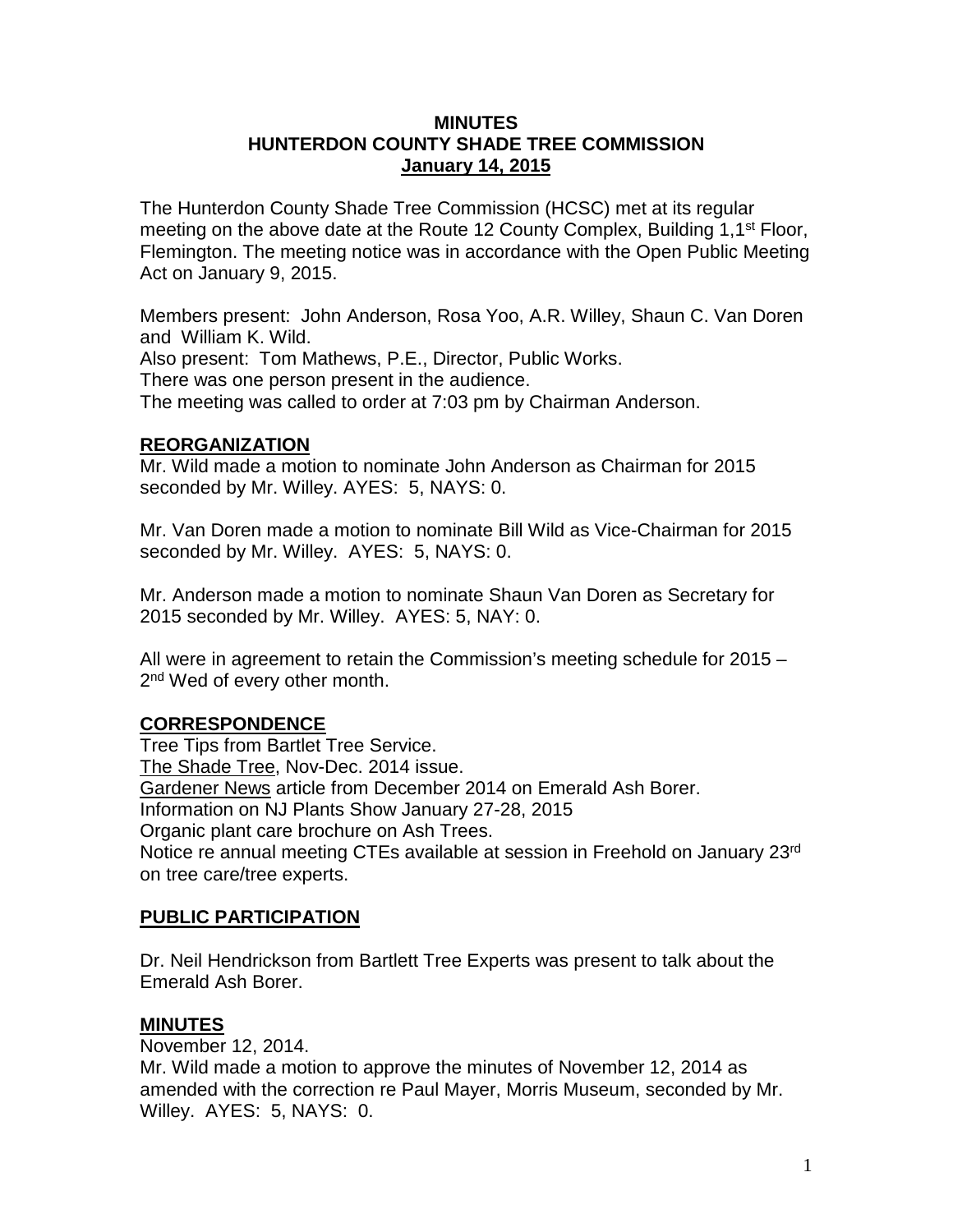### **MINUTES HUNTERDON COUNTY SHADE TREE COMMISSION January 14, 2015**

The Hunterdon County Shade Tree Commission (HCSC) met at its regular meeting on the above date at the Route 12 County Complex, Building 1,1<sup>st</sup> Floor, Flemington. The meeting notice was in accordance with the Open Public Meeting Act on January 9, 2015.

Members present: John Anderson, Rosa Yoo, A.R. Willey, Shaun C. Van Doren and William K. Wild. Also present: Tom Mathews, P.E., Director, Public Works. There was one person present in the audience. The meeting was called to order at 7:03 pm by Chairman Anderson.

# **REORGANIZATION**

Mr. Wild made a motion to nominate John Anderson as Chairman for 2015 seconded by Mr. Willey. AYES: 5, NAYS: 0.

Mr. Van Doren made a motion to nominate Bill Wild as Vice-Chairman for 2015 seconded by Mr. Willey. AYES: 5, NAYS: 0.

Mr. Anderson made a motion to nominate Shaun Van Doren as Secretary for 2015 seconded by Mr. Willey. AYES: 5, NAY: 0.

All were in agreement to retain the Commission's meeting schedule for 2015 – 2<sup>nd</sup> Wed of every other month.

# **CORRESPONDENCE**

Tree Tips from Bartlet Tree Service. The Shade Tree, Nov-Dec. 2014 issue. Gardener News article from December 2014 on Emerald Ash Borer. Information on NJ Plants Show January 27-28, 2015 Organic plant care brochure on Ash Trees. Notice re annual meeting CTEs available at session in Freehold on January 23rd on tree care/tree experts.

# **PUBLIC PARTICIPATION**

Dr. Neil Hendrickson from Bartlett Tree Experts was present to talk about the Emerald Ash Borer.

# **MINUTES**

November 12, 2014.

Mr. Wild made a motion to approve the minutes of November 12, 2014 as amended with the correction re Paul Mayer, Morris Museum, seconded by Mr. Willey. AYES: 5, NAYS: 0.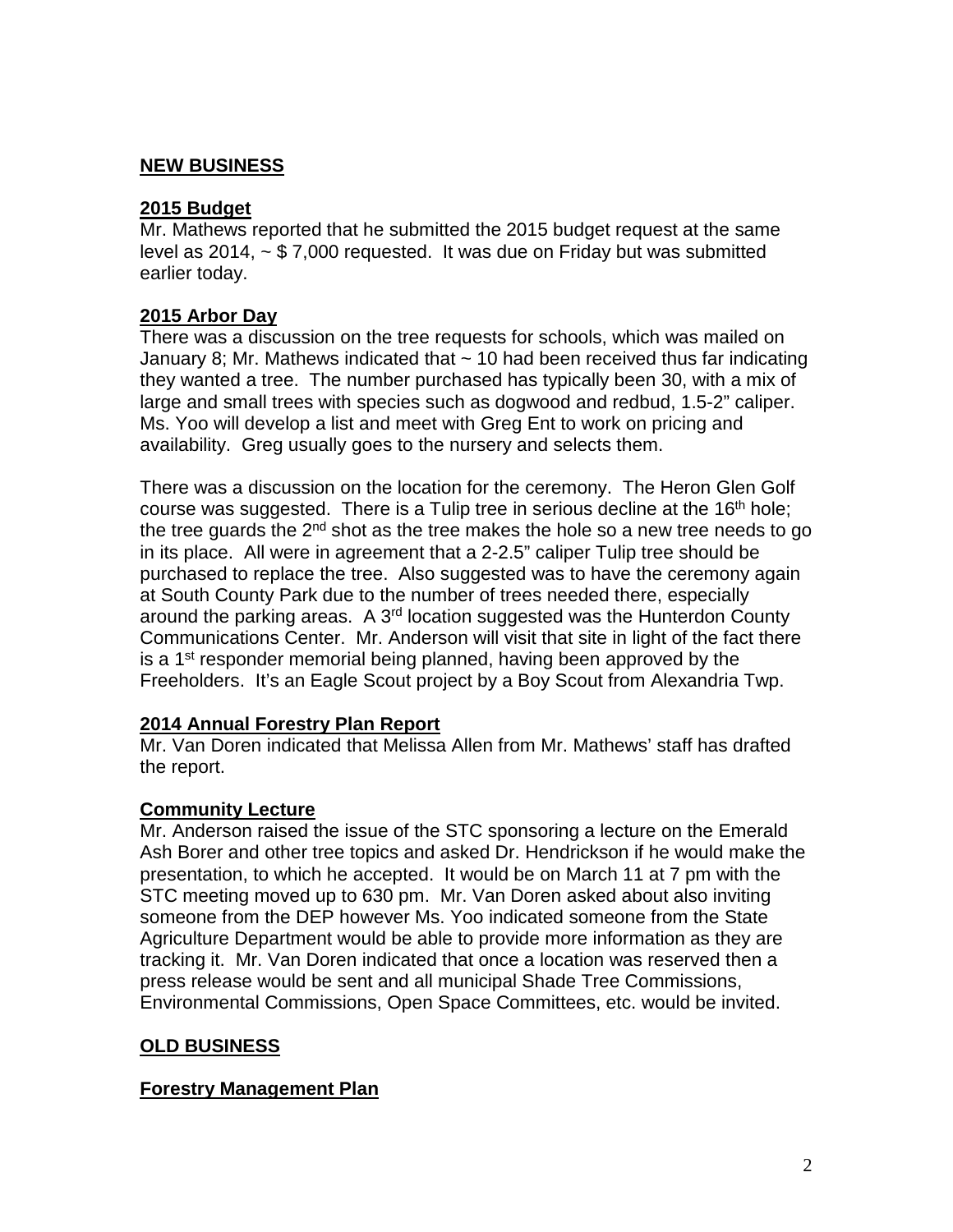# **NEW BUSINESS**

### **2015 Budget**

Mr. Mathews reported that he submitted the 2015 budget request at the same level as 2014, ~ \$ 7,000 requested. It was due on Friday but was submitted earlier today.

# **2015 Arbor Day**

There was a discussion on the tree requests for schools, which was mailed on January 8; Mr. Mathews indicated that  $\sim$  10 had been received thus far indicating they wanted a tree. The number purchased has typically been 30, with a mix of large and small trees with species such as dogwood and redbud, 1.5-2" caliper. Ms. Yoo will develop a list and meet with Greg Ent to work on pricing and availability. Greg usually goes to the nursery and selects them.

There was a discussion on the location for the ceremony. The Heron Glen Golf course was suggested. There is a Tulip tree in serious decline at the  $16<sup>th</sup>$  hole; the tree guards the  $2<sup>nd</sup>$  shot as the tree makes the hole so a new tree needs to go in its place. All were in agreement that a 2-2.5" caliper Tulip tree should be purchased to replace the tree. Also suggested was to have the ceremony again at South County Park due to the number of trees needed there, especially around the parking areas. A  $3<sup>rd</sup>$  location suggested was the Hunterdon County Communications Center. Mr. Anderson will visit that site in light of the fact there is a  $1<sup>st</sup>$  responder memorial being planned, having been approved by the Freeholders. It's an Eagle Scout project by a Boy Scout from Alexandria Twp.

#### **2014 Annual Forestry Plan Report**

Mr. Van Doren indicated that Melissa Allen from Mr. Mathews' staff has drafted the report.

#### **Community Lecture**

Mr. Anderson raised the issue of the STC sponsoring a lecture on the Emerald Ash Borer and other tree topics and asked Dr. Hendrickson if he would make the presentation, to which he accepted. It would be on March 11 at 7 pm with the STC meeting moved up to 630 pm. Mr. Van Doren asked about also inviting someone from the DEP however Ms. Yoo indicated someone from the State Agriculture Department would be able to provide more information as they are tracking it. Mr. Van Doren indicated that once a location was reserved then a press release would be sent and all municipal Shade Tree Commissions, Environmental Commissions, Open Space Committees, etc. would be invited.

# **OLD BUSINESS**

# **Forestry Management Plan**